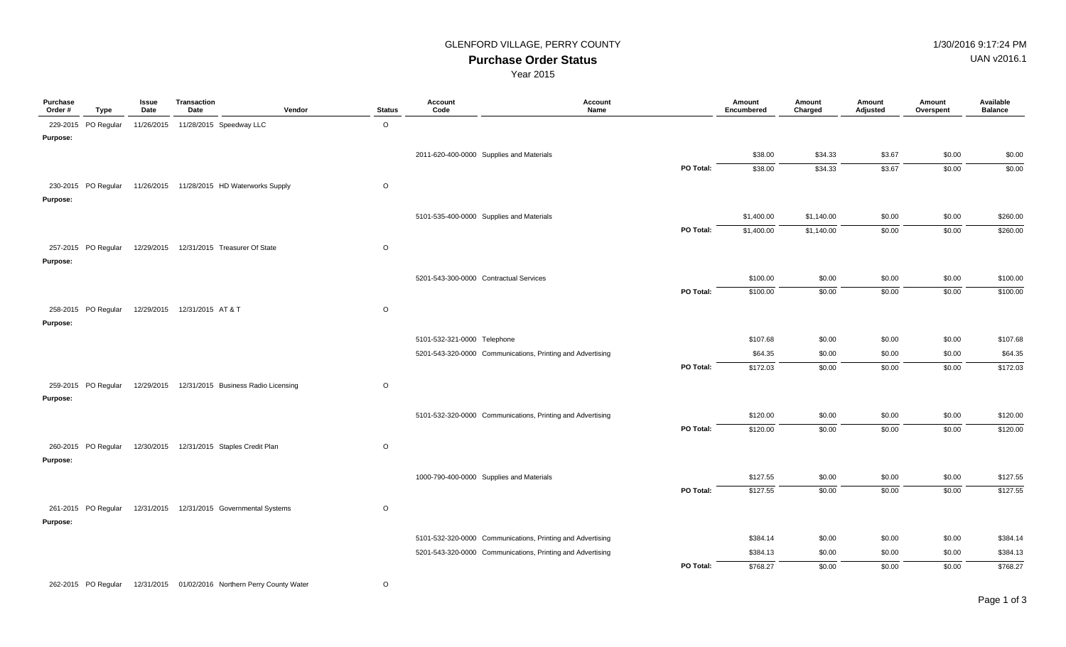### GLENFORD VILLAGE, PERRY COUNTY **1/30/2016** 9:17:24 PM

UAN v2016.1

**Purchase Order Status**

Year 2015

| Purchase<br>Order# | Type                | Issue<br>Date | <b>Transaction</b><br>Date                                     | Vendor<br><b>Status</b> | Account<br>Code                          | Account<br>Name                                            | Amount<br>Encumbered | Amount<br>Charged | Amount<br>Adjusted | Amount<br>Overspent | Available<br><b>Balance</b> |
|--------------------|---------------------|---------------|----------------------------------------------------------------|-------------------------|------------------------------------------|------------------------------------------------------------|----------------------|-------------------|--------------------|---------------------|-----------------------------|
|                    | 229-2015 PO Regular |               | 11/26/2015  11/28/2015  Speedway LLC                           | $\circ$                 |                                          |                                                            |                      |                   |                    |                     |                             |
| Purpose:           |                     |               |                                                                |                         |                                          |                                                            |                      |                   |                    |                     |                             |
|                    |                     |               |                                                                |                         | 2011-620-400-0000 Supplies and Materials |                                                            | \$38.00              | \$34.33           | \$3.67             | \$0.00              | \$0.00                      |
|                    |                     |               |                                                                |                         |                                          | PO Total:                                                  | \$38.00              | \$34.33           | 3.67               | \$0.00              | \$0.00                      |
|                    |                     |               | 230-2015 PO Regular 11/26/2015 11/28/2015 HD Waterworks Supply | $\circ$                 |                                          |                                                            |                      |                   |                    |                     |                             |
| <b>Purpose:</b>    |                     |               |                                                                |                         |                                          |                                                            |                      |                   |                    |                     |                             |
|                    |                     |               |                                                                |                         | 5101-535-400-0000 Supplies and Materials |                                                            | \$1,400.00           | \$1,140.00        | \$0.00             | \$0.00              | \$260.00                    |
|                    |                     |               |                                                                |                         |                                          | PO Total:                                                  | \$1,400.00           | \$1,140.00        | \$0.00             | \$0.00              | \$260.00                    |
|                    | 257-2015 PO Regular |               | 12/29/2015  12/31/2015  Treasurer Of State                     | $\circ$                 |                                          |                                                            |                      |                   |                    |                     |                             |
| Purpose:           |                     |               |                                                                |                         |                                          |                                                            |                      |                   |                    |                     |                             |
|                    |                     |               |                                                                |                         | 5201-543-300-0000 Contractual Services   |                                                            | \$100.00             | \$0.00            | \$0.00             | \$0.00              | \$100.00                    |
|                    |                     |               |                                                                |                         |                                          | PO Total:                                                  | \$100.00             | \$0.00            | \$0.00             | \$0.00              | \$100.00                    |
|                    | 258-2015 PO Regular |               | 12/29/2015  12/31/2015  AT & T                                 | $\circ$                 |                                          |                                                            |                      |                   |                    |                     |                             |
| <b>Purpose:</b>    |                     |               |                                                                |                         |                                          |                                                            |                      |                   |                    |                     |                             |
|                    |                     |               |                                                                |                         | 5101-532-321-0000 Telephone              |                                                            | \$107.68             | \$0.00            | \$0.00             | \$0.00              | \$107.68                    |
|                    |                     |               |                                                                |                         |                                          | 5201-543-320-0000 Communications, Printing and Advertising | \$64.35              | \$0.00            | \$0.00             | \$0.00              | \$64.35                     |
|                    |                     |               |                                                                |                         |                                          | PO Total:                                                  | \$172.03             | \$0.00            | \$0.00             | \$0.00              | \$172.03                    |
|                    | 259-2015 PO Regular |               | 12/29/2015  12/31/2015  Business Radio Licensing               | $\mathsf O$             |                                          |                                                            |                      |                   |                    |                     |                             |
| Purpose:           |                     |               |                                                                |                         |                                          |                                                            |                      |                   |                    |                     |                             |
|                    |                     |               |                                                                |                         |                                          | 5101-532-320-0000 Communications, Printing and Advertising | \$120.00             | \$0.00            | \$0.00             | \$0.00              | \$120.00                    |
|                    |                     |               |                                                                |                         |                                          | PO Total:                                                  | \$120.00             | \$0.00            | \$0.00             | \$0.00              | \$120.00                    |
|                    | 260-2015 PO Regular |               | 12/30/2015  12/31/2015  Staples Credit Plan                    | $\circ$                 |                                          |                                                            |                      |                   |                    |                     |                             |
| <b>Purpose:</b>    |                     |               |                                                                |                         |                                          |                                                            |                      |                   |                    |                     |                             |
|                    |                     |               |                                                                |                         | 1000-790-400-0000 Supplies and Materials |                                                            | \$127.55             | \$0.00            | \$0.00             | \$0.00              | \$127.55                    |
|                    |                     |               |                                                                |                         |                                          | PO Total:                                                  | \$127.55             | \$0.00            | \$0.00             | \$0.00              | \$127.55                    |
|                    |                     |               |                                                                |                         |                                          |                                                            |                      |                   |                    |                     |                             |
| Purpose:           | 261-2015 PO Regular |               | 12/31/2015  12/31/2015  Governmental Systems                   | $\circ$                 |                                          |                                                            |                      |                   |                    |                     |                             |
|                    |                     |               |                                                                |                         |                                          | 5101-532-320-0000 Communications, Printing and Advertising | \$384.14             | \$0.00            | \$0.00             | \$0.00              | \$384.14                    |
|                    |                     |               |                                                                |                         |                                          | 5201-543-320-0000 Communications, Printing and Advertising | \$384.13             | \$0.00            | \$0.00             | \$0.00              | \$384.13                    |
|                    |                     |               |                                                                |                         |                                          | PO Total:                                                  | \$768.27             | \$0.00            | \$0.00             | \$0.00              | \$768.27                    |
|                    |                     |               |                                                                |                         |                                          |                                                            |                      |                   |                    |                     |                             |
|                    | 262-2015 PO Regular |               | 12/31/2015 01/02/2016 Northern Perry County Water              | $\circ$                 |                                          |                                                            |                      |                   |                    |                     |                             |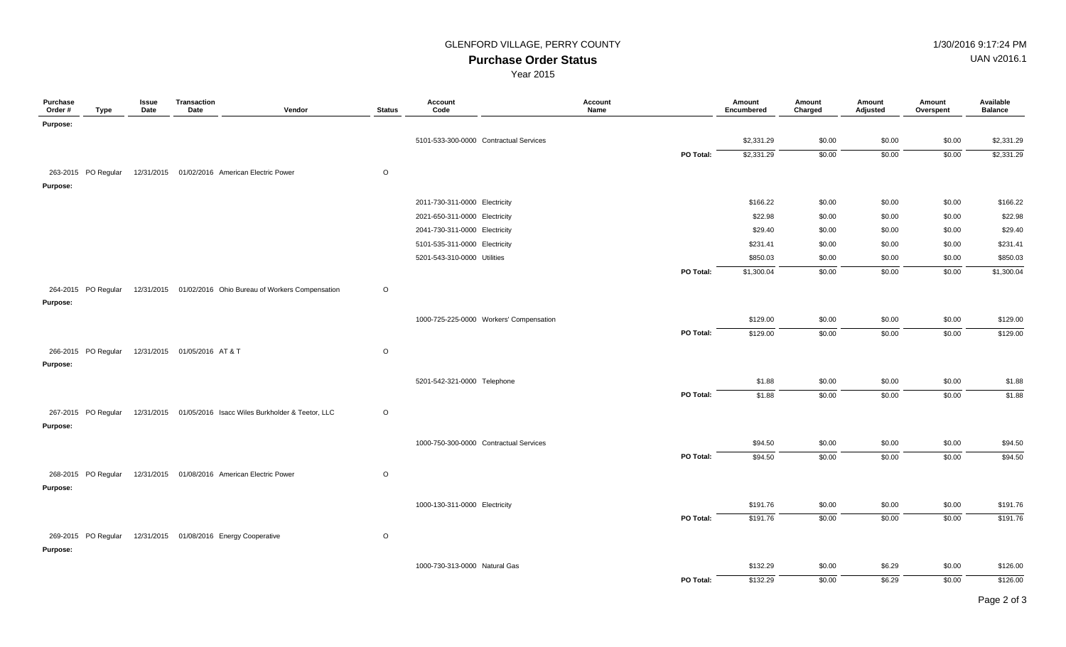## GLENFORD VILLAGE, PERRY COUNTY **1/30/2016** 9:17:24 PM

UAN v2016.1

**Purchase Order Status**

Year 2015

| Purchase<br>Order # | <b>Type</b>         | Issue<br>Date | Transaction<br>Date          | Vendor                                                     | <b>Status</b> | Account<br>Code                         | Account<br>Name | Amount<br>Encumbered | Amount<br>Charged | Amount<br>Adjusted | Amount<br>Overspent | Available<br><b>Balance</b> |
|---------------------|---------------------|---------------|------------------------------|------------------------------------------------------------|---------------|-----------------------------------------|-----------------|----------------------|-------------------|--------------------|---------------------|-----------------------------|
| Purpose:            |                     |               |                              |                                                            |               |                                         |                 |                      |                   |                    |                     |                             |
|                     |                     |               |                              |                                                            |               | 5101-533-300-0000 Contractual Services  |                 | \$2,331.29           | \$0.00            | \$0.00             | \$0.00              | \$2,331.29                  |
|                     |                     |               |                              |                                                            |               |                                         | PO Total:       | \$2,331.29           | \$0.00            | \$0.00             | \$0.00              | \$2,331.29                  |
|                     | 263-2015 PO Regular |               |                              | 12/31/2015 01/02/2016 American Electric Power              | $\circ$       |                                         |                 |                      |                   |                    |                     |                             |
| Purpose:            |                     |               |                              |                                                            |               |                                         |                 |                      |                   |                    |                     |                             |
|                     |                     |               |                              |                                                            |               | 2011-730-311-0000 Electricity           |                 | \$166.22             | \$0.00            | \$0.00             | \$0.00              | \$166.22                    |
|                     |                     |               |                              |                                                            |               | 2021-650-311-0000 Electricity           |                 | \$22.98              | \$0.00            | \$0.00             | \$0.00              | \$22.98                     |
|                     |                     |               |                              |                                                            |               | 2041-730-311-0000 Electricity           |                 | \$29.40              | \$0.00            | \$0.00             | \$0.00              | \$29.40                     |
|                     |                     |               |                              |                                                            |               | 5101-535-311-0000 Electricity           |                 | \$231.41             | \$0.00            | \$0.00             | \$0.00              | \$231.41                    |
|                     |                     |               |                              |                                                            |               | 5201-543-310-0000 Utilities             |                 | \$850.03             | \$0.00            | \$0.00             | \$0.00              | \$850.03                    |
|                     |                     |               |                              |                                                            |               |                                         | PO Total:       | \$1,300.04           | \$0.00            | \$0.00             | \$0.00              | \$1,300.04                  |
|                     | 264-2015 PO Regular |               |                              | 12/31/2015 01/02/2016 Ohio Bureau of Workers Compensation  | $\circ$       |                                         |                 |                      |                   |                    |                     |                             |
| Purpose:            |                     |               |                              |                                                            |               |                                         |                 |                      |                   |                    |                     |                             |
|                     |                     |               |                              |                                                            |               | 1000-725-225-0000 Workers' Compensation |                 | \$129.00             | \$0.00            | \$0.00             | \$0.00              | \$129.00                    |
|                     |                     |               |                              |                                                            |               |                                         | PO Total:       | \$129.00             | \$0.00            | \$0.00             | \$0.00              | \$129.00                    |
|                     | 266-2015 PO Regular |               | 12/31/2015 01/05/2016 AT & T |                                                            | $\circ$       |                                         |                 |                      |                   |                    |                     |                             |
| Purpose:            |                     |               |                              |                                                            |               |                                         |                 |                      |                   |                    |                     |                             |
|                     |                     |               |                              |                                                            |               | 5201-542-321-0000 Telephone             |                 | \$1.88               | \$0.00            | \$0.00             | \$0.00              | \$1.88                      |
|                     |                     |               |                              |                                                            |               |                                         | PO Total:       | \$1.88               | \$0.00            | \$0.00             | \$0.00              | \$1.88                      |
|                     | 267-2015 PO Regular |               |                              | 12/31/2015 01/05/2016 Isacc Wiles Burkholder & Teetor, LLC | $\circ$       |                                         |                 |                      |                   |                    |                     |                             |
| Purpose:            |                     |               |                              |                                                            |               |                                         |                 |                      |                   |                    |                     |                             |
|                     |                     |               |                              |                                                            |               |                                         |                 |                      |                   |                    |                     |                             |
|                     |                     |               |                              |                                                            |               | 1000-750-300-0000 Contractual Services  | PO Total:       | \$94.50<br>\$94.50   | \$0.00<br>\$0.00  | \$0.00<br>\$0.00   | \$0.00<br>\$0.00    | \$94.50<br>\$94.50          |
|                     |                     |               |                              |                                                            |               |                                         |                 |                      |                   |                    |                     |                             |
|                     | 268-2015 PO Regular |               |                              | 12/31/2015 01/08/2016 American Electric Power              | $\circ$       |                                         |                 |                      |                   |                    |                     |                             |
| Purpose:            |                     |               |                              |                                                            |               |                                         |                 |                      |                   |                    |                     |                             |
|                     |                     |               |                              |                                                            |               | 1000-130-311-0000 Electricity           |                 | \$191.76             | \$0.00            | \$0.00             | \$0.00              | \$191.76                    |
|                     |                     |               |                              |                                                            |               |                                         | PO Total:       | \$191.76             | \$0.00            | \$0.00             | \$0.00              | \$191.76                    |
|                     | 269-2015 PO Regular |               |                              | 12/31/2015 01/08/2016 Energy Cooperative                   | $\circ$       |                                         |                 |                      |                   |                    |                     |                             |
| Purpose:            |                     |               |                              |                                                            |               |                                         |                 |                      |                   |                    |                     |                             |
|                     |                     |               |                              |                                                            |               | 1000-730-313-0000 Natural Gas           |                 | \$132.29             | \$0.00            | \$6.29             | \$0.00              | \$126.00                    |
|                     |                     |               |                              |                                                            |               |                                         | PO Total:       | \$132.29             | \$0.00            | \$6.29             | \$0.00              | \$126.00                    |